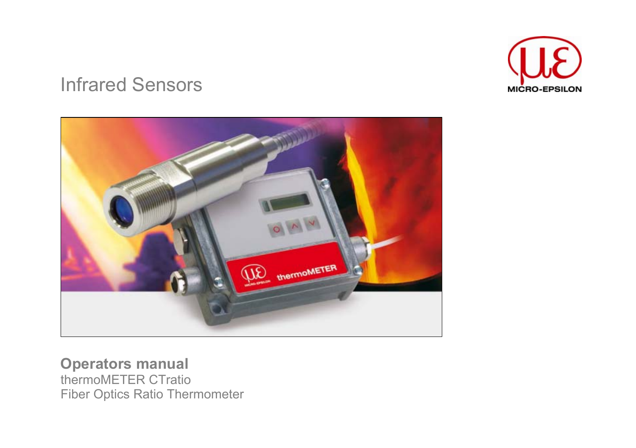# Infrared Sensors





# **Operators manual**

thermoMETER CTratio Fiber Optics Ratio Thermometer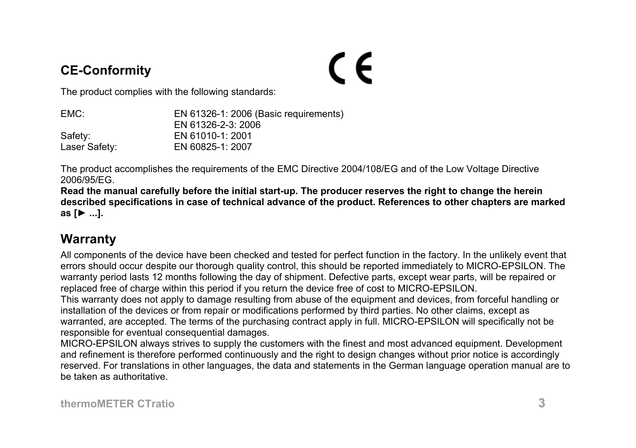### **CE-Conformity**

# CE

The product complies with the following standards:

EMC: EN 61326-1: 2006 (Basic requirements) EN 61326-2-3: 2006 Safety: EN 61010-1: 2001 Laser Safety: EN 60825-1: 2007

The product accomplishes the requirements of the EMC Directive 2004/108/EG and of the Low Voltage Directive 2006/95/EG.

**Read the manual carefully before the initial start-up. The producer reserves the right to change the herein described specifications in case of technical advance of the product. References to other chapters are marked as [► ...].** 

### **Warranty**

All components of the device have been checked and tested for perfect function in the factory. In the unlikely event that errors should occur despite our thorough quality control, this should be reported immediately to MICRO-EPSILON. The warranty period lasts 12 months following the day of shipment. Defective parts, except wear parts, will be repaired or replaced free of charge within this period if you return the device free of cost to MICRO-EPSILON.

This warranty does not apply to damage resulting from abuse of the equipment and devices, from forceful handling or installation of the devices or from repair or modifications performed by third parties. No other claims, except as warranted, are accepted. The terms of the purchasing contract apply in full. MICRO-EPSILON will specifically not be responsible for eventual consequential damages.

MICRO-EPSILON always strives to supply the customers with the finest and most advanced equipment. Development and refinement is therefore performed continuously and the right to design changes without prior notice is accordingly reserved. For translations in other languages, the data and statements in the German language operation manual are to be taken as authoritative.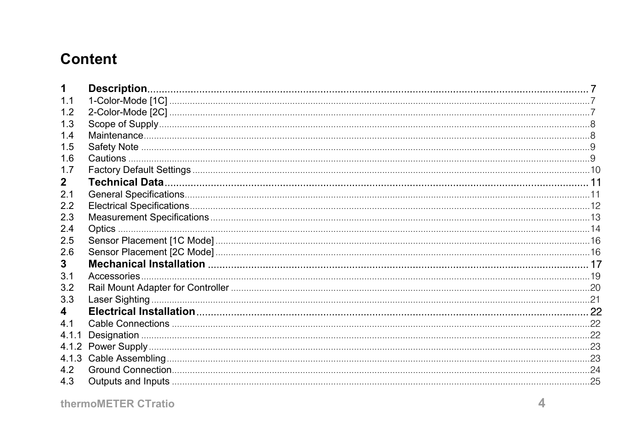# **Content**

| 1.1          |  |
|--------------|--|
| 1.2          |  |
| 1.3          |  |
| 1.4          |  |
| 1.5          |  |
| 1.6          |  |
| 1.7          |  |
| $\mathbf{2}$ |  |
| 2.1          |  |
| 2.2          |  |
| 2.3          |  |
| 2.4          |  |
| 2.5          |  |
| 2.6          |  |
| 3            |  |
| 3.1          |  |
| 3.2          |  |
| 3.3          |  |
| 4            |  |
| 4 1          |  |
| 4.1.1        |  |
| 4.1.2        |  |
| 4.1.3        |  |
| 4.2          |  |
| 4.3          |  |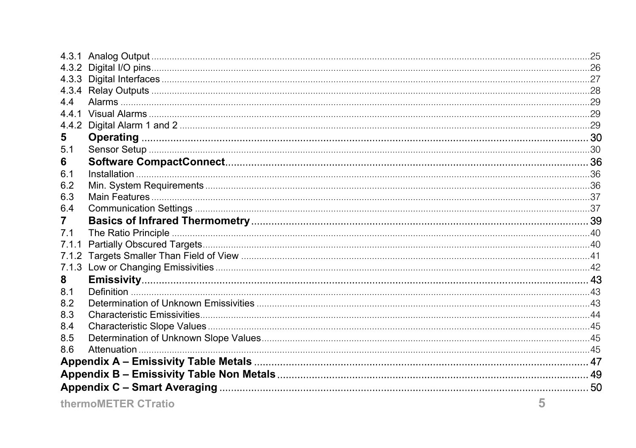| 4.4   |                                    |  |
|-------|------------------------------------|--|
|       |                                    |  |
|       |                                    |  |
| 5     |                                    |  |
| 5.1   |                                    |  |
| 6     |                                    |  |
| 6.1   |                                    |  |
| 6.2   |                                    |  |
| 6.3   |                                    |  |
| 6.4   |                                    |  |
| 7     |                                    |  |
| 7.1   |                                    |  |
| 7.1.1 |                                    |  |
|       |                                    |  |
|       |                                    |  |
| 8     |                                    |  |
| 8.1   |                                    |  |
| 8.2   |                                    |  |
| 8.3   |                                    |  |
| 8.4   |                                    |  |
| 8.5   |                                    |  |
| 8.6   |                                    |  |
|       |                                    |  |
|       |                                    |  |
|       |                                    |  |
|       | <b>Alexander ATTED OTHER</b><br>E. |  |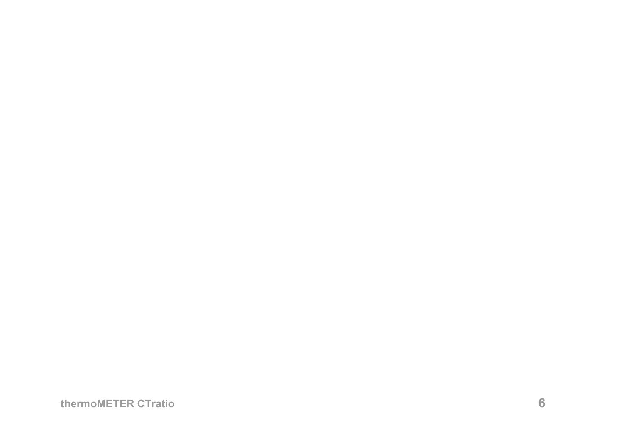**thermoMETER CTratio 6**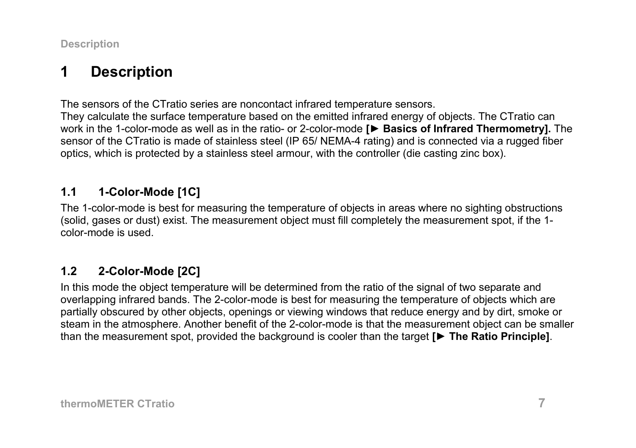# <span id="page-6-0"></span>**1 Description**

The sensors of the CTratio series are noncontact infrared temperature sensors.

They calculate the surface temperature based on the emitted infrared energy of objects. The CTratio can work in the 1-color-mode as well as in the ratio- or 2-color-mode **[► Basics of Infrared Thermometry].** The sensor of the CTratio is made of stainless steel (IP 65/ NEMA-4 rating) and is connected via a rugged fiber optics, which is protected by a stainless steel armour, with the controller (die casting zinc box).

#### **1.11-Color-Mode [1C]**

The 1-color-mode is best for measuring the temperature of objects in areas where no sighting obstructions (solid, gases or dust) exist. The measurement object must fill completely the measurement spot, if the 1 color-mode is used.

#### **1.22-Color-Mode [2C]**

In this mode the object temperature will be determined from the ratio of the signal of two separate and overlapping infrared bands. The 2-color-mode is best for measuring the temperature of objects which are partially obscured by other objects, openings or viewing windows that reduce energy and by dirt, smoke or steam in the atmosphere. Another benefit of the 2-color-mode is that the measurement object can be smaller than the measurement spot, provided the background is cooler than the target **[► The Ratio Principle]**.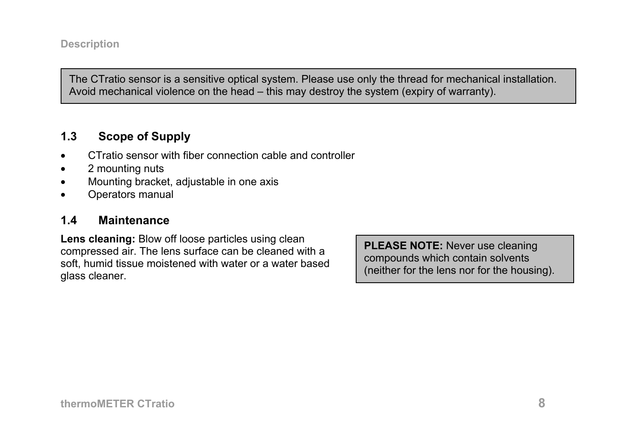<span id="page-7-0"></span>The CTratio sensor is a sensitive optical system. Please use only the thread for mechanical installation. Avoid mechanical violence on the head – this may destroy the system (expiry of warranty).

#### **1.3Scope of Supply**

- CTratio sensor with fiber connection cable and controller
- 2 mounting nuts
- Mounting bracket, adjustable in one axis
- Operators manual

#### **1.4Maintenance**

**Lens cleaning:** Blow off loose particles using clean compressed air. The lens surface can be cleaned with a soft, humid tissue moistened with water or a water based glass cleaner.

**PLEASE NOTE:** Never use cleaning compounds which contain solvents (neither for the lens nor for the housing).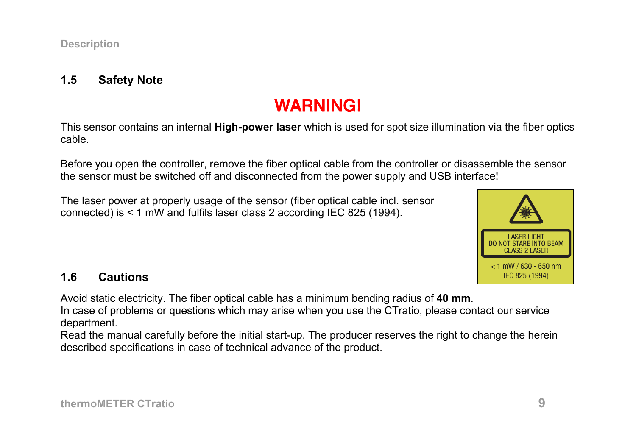#### <span id="page-8-0"></span>**1.5 Safety Note**

# WARNING!

This sensor contains an internal **High-power laser** which is used for spot size illumination via the fiber optics cable.

Before you open the controller, remove the fiber optical cable from the controller or disassemble the sensor the sensor must be switched off and disconnected from the power supply and USB interface!

The laser power at properly usage of the sensor (fiber optical cable incl. sensor connected) is < 1 mW and fulfils laser class 2 according IEC 825 (1994).



#### **1.6Cautions**

Avoid static electricity. The fiber optical cable has a minimum bending radius of **40 mm**.

In case of problems or questions which may arise when you use the CTratio, please contact our service department.

Read the manual carefully before the initial start-up. The producer reserves the right to change the herein described specifications in case of technical advance of the product.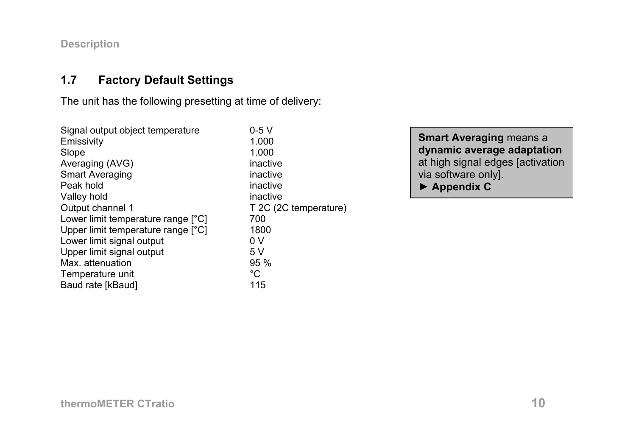#### <span id="page-9-0"></span>**1.7 Factory Default Settings**

The unit has the following presetting at time of delivery:

| Signal output object temperature   | $0-5V$   |
|------------------------------------|----------|
| Emissivity                         | 1.000    |
| Slope                              | 1.000    |
| Averaging (AVG)                    | inactive |
| <b>Smart Averaging</b>             | inactive |
| Peak hold                          | inactive |
| Valley hold                        | inactive |
| Output channel 1                   | T 2C (20 |
| Lower limit temperature range [°C] | 700      |
| Upper limit temperature range [°C] | 1800     |
| Lower limit signal output          | 0 V      |
| Upper limit signal output          | 5 V      |
| Max. attenuation                   | 95%      |
| Temperature unit                   | °C       |
| Baud rate [kBaud]                  | 115      |
|                                    |          |

-5 V<br>000 **Smart Averaging** means a hactive hactive 2C (2C temperature)<br>00

**dynamic average adaptation** at high signal edges [activation via software only]. ► **Appendix C**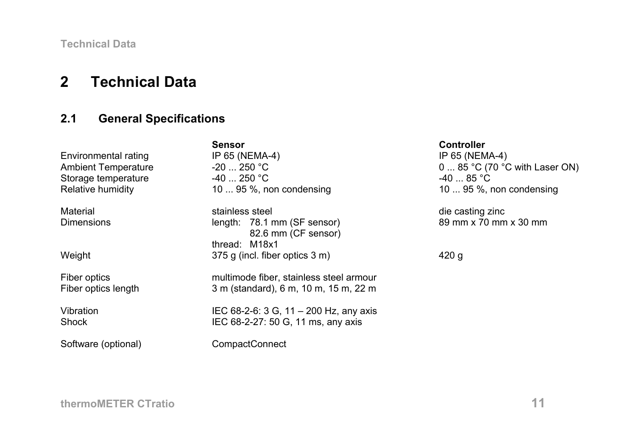## <span id="page-10-0"></span>**2 Technical Data**

#### **2.1General Specifications**

Environmental rating IP 65 (NEMA-4) IP 65 (NEMA-4) IP 65 (NEMA-4) Storage temperature  $\begin{array}{r} -40 \ldots 250 \text{ °C} \\ \text{Relative humidity} \end{array}$  -40 ... 95 %, non condensing

Material stainless steel between the casting zinc<br>
Material stating zinc stating zinc bend the casting term of the casting zinc stating zinc of the casting zinc<br>
Dimensions stating the length: 78.1 mm (SF sensor) and the c Dimensions length: 78.1 mm (SF sensor) 82.6 mm (CF sensor) thread: M18x1 Weight 375 g (incl. fiber optics 3 m) 420 g

Fiber optics multimode fiber, stainless steel armour<br>Fiber optics length 3 m (standard), 6 m, 10 m, 15 m, 22 m 3 m (standard), 6 m, 10 m, 15 m, 22 m

Vibration IEC 68-2-6: 3 G, 11 – 200 Hz, any axis Shock **IEC 68-2-27: 50 G, 11 ms, any axis** 

Software (optional) CompactConnect

#### **Sensor** Controller

Ambient Temperature  $-20... 250 °C$  ...  $250 °C$  ...  $250 °C$  ... 85 °C (70 °C with Laser ON)<br>Storage temperature  $-40... 250 °C$ 10  $\dots$  95 %, non condensing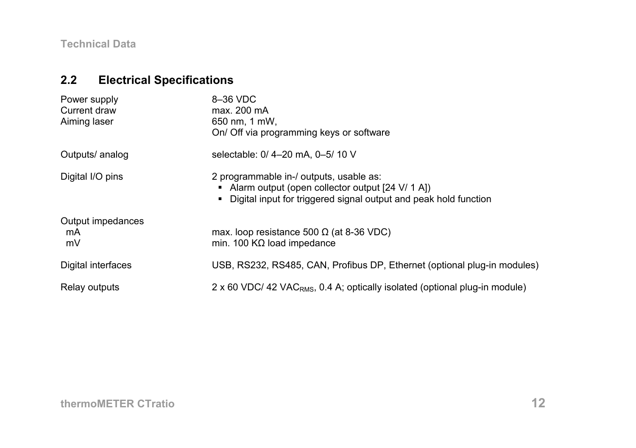### <span id="page-11-0"></span>**2.2 Electrical Specifications**

| Power supply<br>Current draw<br>Aiming laser | 8-36 VDC<br>max. 200 mA<br>650 nm, 1 mW,                                                                                                                        |    |
|----------------------------------------------|-----------------------------------------------------------------------------------------------------------------------------------------------------------------|----|
|                                              | On/ Off via programming keys or software                                                                                                                        |    |
| Outputs/ analog                              | selectable: 0/4-20 mA, 0-5/10 V                                                                                                                                 |    |
| Digital I/O pins                             | 2 programmable in-/ outputs, usable as:<br>Alarm output (open collector output [24 V/ 1 A])<br>Digital input for triggered signal output and peak hold function |    |
| Output impedances<br>mA<br>mV                | max. loop resistance 500 $\Omega$ (at 8-36 VDC)<br>min. 100 $K\Omega$ load impedance                                                                            |    |
| Digital interfaces                           | USB, RS232, RS485, CAN, Profibus DP, Ethernet (optional plug-in modules)                                                                                        |    |
| Relay outputs                                | 2 x 60 VDC/ 42 VAC <sub>RMS</sub> , 0.4 A; optically isolated (optional plug-in module)                                                                         |    |
|                                              |                                                                                                                                                                 |    |
|                                              |                                                                                                                                                                 |    |
|                                              |                                                                                                                                                                 |    |
| thermoMETER CTratio                          |                                                                                                                                                                 | 12 |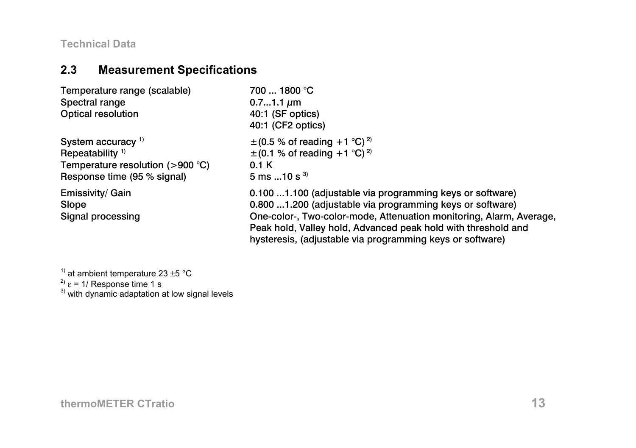#### <span id="page-12-0"></span>**2.3 Measurement Specifications**

| Temperature range (scalable)<br>Spectral range<br>Optical resolution                                                     | 700  1800 °C<br>$0.71.1 \,\mu m$<br>40:1 (SF optics)<br>40:1 (CF2 optics)                                                                                                                                                                                                                                                   |
|--------------------------------------------------------------------------------------------------------------------------|-----------------------------------------------------------------------------------------------------------------------------------------------------------------------------------------------------------------------------------------------------------------------------------------------------------------------------|
| System accuracy <sup>1)</sup><br>Repeatability $1$<br>Temperature resolution ( $>900$ °C)<br>Response time (95 % signal) | $\pm$ (0.5 % of reading +1 °C) <sup>2)</sup><br>$\pm$ (0.1 % of reading +1 °C) <sup>2)</sup><br>0.1K<br>5 ms $$ 10 s $^{3)}$                                                                                                                                                                                                |
| Emissivity/ Gain<br>Slope<br>Signal processing                                                                           | 0.100 1.100 (adjustable via programming keys or software)<br>0.800 1.200 (adjustable via programming keys or software)<br>One-color-, Two-color-mode, Attenuation monitoring, Alarm, Average,<br>Peak hold, Valley hold, Advanced peak hold with threshold and<br>hysteresis, (adjustable via programming keys or software) |

<sup>1)</sup> at ambient temperature 23  $\pm$ 5 °C

<sup>2)</sup>  $\varepsilon$  = 1/ Response time 1 s

 $3)$  with dynamic adaptation at low signal levels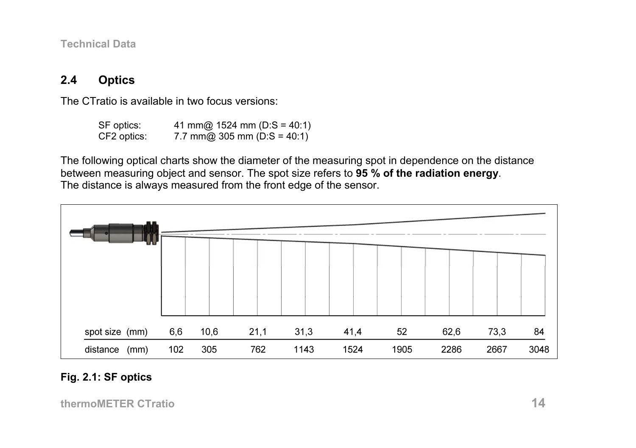#### <span id="page-13-0"></span>**2.4 Optics**

The CTratio is available in two focus versions:

| SF optics:  | 41 mm@ 1524 mm (D:S = 40:1) |
|-------------|-----------------------------|
| CF2 optics: | 7.7 mm@ 305 mm (D:S = 40:1) |

The following optical charts show the diameter of the measuring spot in dependence on the distance between measuring object and sensor. The spot size refers to **95 % of the radiation energy**. The distance is always measured from the front edge of the sensor.



### **Fig. 2.1: SF optics**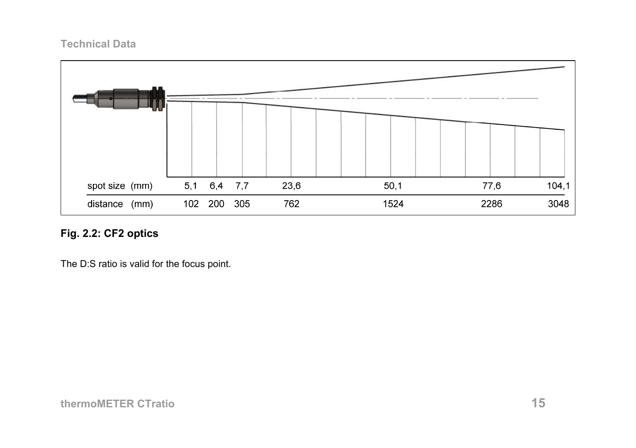

### **Fig. 2.2: CF2 optics**

The D:S ratio is valid for the focus point.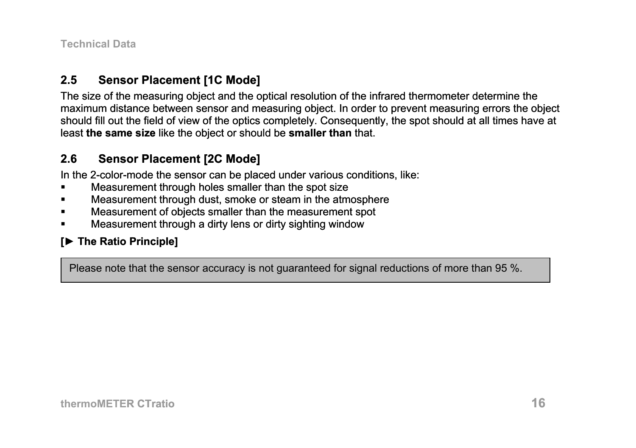<span id="page-15-0"></span>**Tech cal Data ni**

#### **2.5 Sensor Placement [1C Mode]**

The size of the measuring object and the optical resolution of the infrared thermometer determine the maximum distance between sensor and measuring object. In order to prevent measuring errors the object should fill out the field of view of the optics completely. Consequently, the spot should at all times have at least **the same size** like the object or should be **smaller than** that.

### **2.6 Sensor Placement [2C Mode]**

In the 2-color-mode the sensor can be placed under various conditions, like:

- Measurement through holes smaller than the spot size
- Measurement through dust, smoke or steam in the atmosphere
- Measurement of objects smaller than the measurement spot
- Measurement through a dirty lens or dirty sighting window

### **[► The Ratio Principle]**

Please note that the sensor accuracy is not guaranteed for signal reductions of more than 95 %.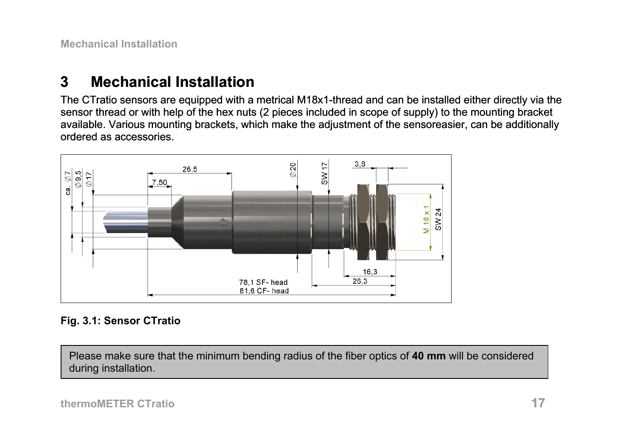<span id="page-16-0"></span>The CTratio sensors are equipped with a metrical M18x1-thread and can be installed either directly via the sensor thread or with help of the hex nuts (2 pieces included in scope of supply) to the mounting bracket available. Various mounting brackets, which make the adjustment of the sensoreasier, can be additionally ordered as accessories.



### **Fig. 3.1: Sensor CTratio**

Please make sure that the minimum bending radius of the fiber optics of **40 mm** will be considered during installation.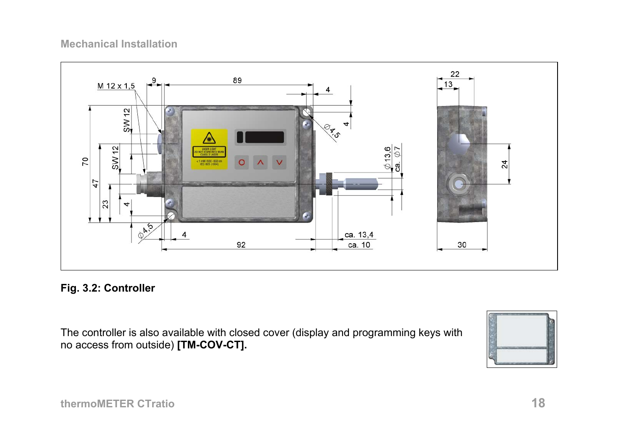

#### **Fig. 3.2: Controller**

The controller is also available with closed cover (display and programming keys with no access from outside) **[TM-COV-CT].** 

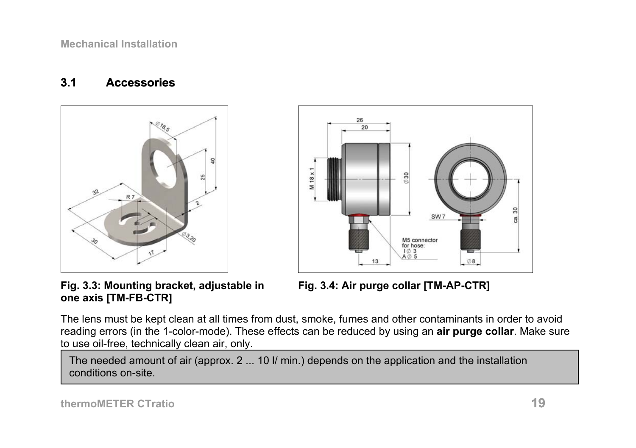### <span id="page-18-0"></span>**3.1 Accessories**





**Fig. 3.3: Mounting bracket, adjustable in one axis [TM-FB-CTR]**



The lens must be kept clean at all times from dust, smoke, fumes and other contaminants in order to avoid reading errors (in the 1-color-mode). These effects can be reduced by using an **air purge collar**. Make sure to use oil-free, technically clean air, only.

The needed amount of air (approx. 2 ... 10 l/ min.) depends on the application and the installation conditions on-site.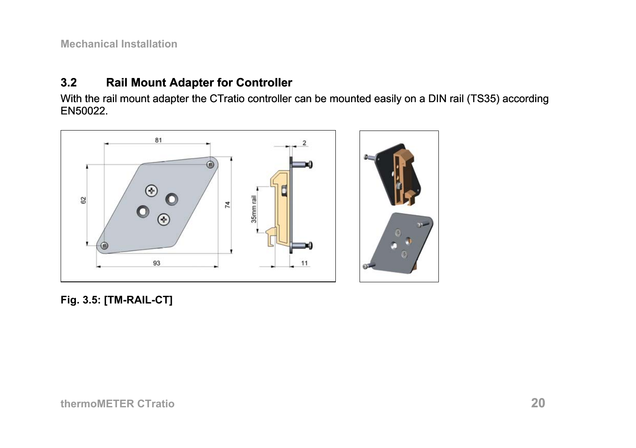### <span id="page-19-0"></span>**3.2 Rail Mount Adapter for Controller**

With the rail mount adapter the CTratio controller can be mounted easily on a DIN rail (TS35) according EN50022.



**Fig. 3.5: [TM-RAIL-CT]**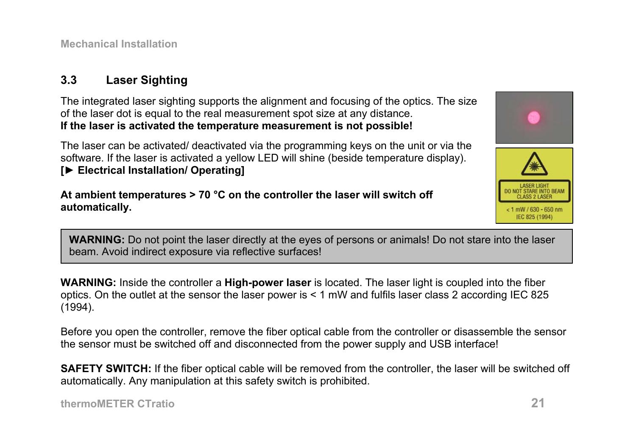### <span id="page-20-0"></span>**3.3 Laser Sighting**

The integrated laser sighting supports the alignment and focusing of the optics. The size of the laser dot is equal to the real measurement spot size at any distance. **If the laser is activated the temperature measurement is not possible!** 

The laser can be activated/ deactivated via the programming keys on the unit or via the software. If the laser is activated a yellow LED will shine (beside temperature display). **[► Electrical Installation/ Operating]** 

**At ambient temperatures > 70 °C on the controller the laser will switch off automatically.** 



**WARNING:** Do not point the laser directly at the eyes of persons or animals! Do not stare into the laser beam. Avoid indirect exposure via reflective surfaces!

**WARNING:** Inside the controller a **High-power laser** is located. The laser light is coupled into the fiber optics. On the outlet at the sensor the laser power is < 1 mW and fulfils laser class 2 according IEC 825 (1994).

Before you open the controller, remove the fiber optical cable from the controller or disassemble the sensor the sensor must be switched off and disconnected from the power supply and USB interface!

**SAFETY SWITCH:** If the fiber optical cable will be removed from the controller, the laser will be switched off automatically. Any manipulation at this safety switch is prohibited.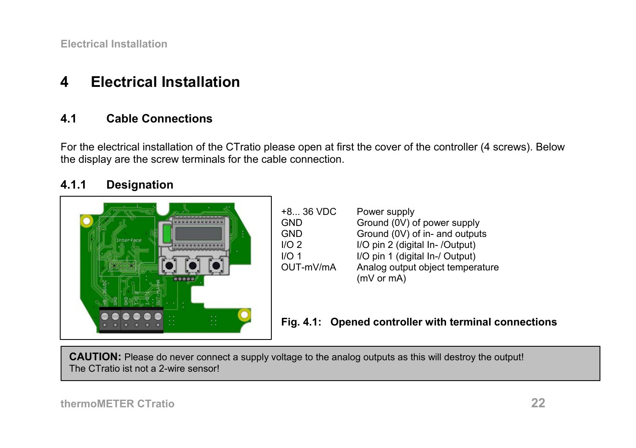# <span id="page-21-0"></span>**4 Electrical Installation**

#### **4.1Cable Connections**

For the electrical installation of the CTratio please open at first the cover of the controller (4 screws). Below the display are the screw terminals for the cable connection.

#### **4.1.1Designation**



| +8 36 VDC        | Power supply                                   |
|------------------|------------------------------------------------|
| GND              | Ground (0V) of power supply                    |
| GND              | Ground (0V) of in- and outputs                 |
| I/O <sub>2</sub> | I/O pin 2 (digital In- /Output)                |
| I/O <sub>1</sub> | I/O pin 1 (digital In-/ Output)                |
| OUT-mV/mA        | Analog output object temperature<br>(mV or mA) |

### **Fig. 4.1: Opened controller with terminal connections**

**CAUTION:** Please do never connect a supply voltage to the analog outputs as this will destroy the output! The CTratio ist not a 2-wire sensor!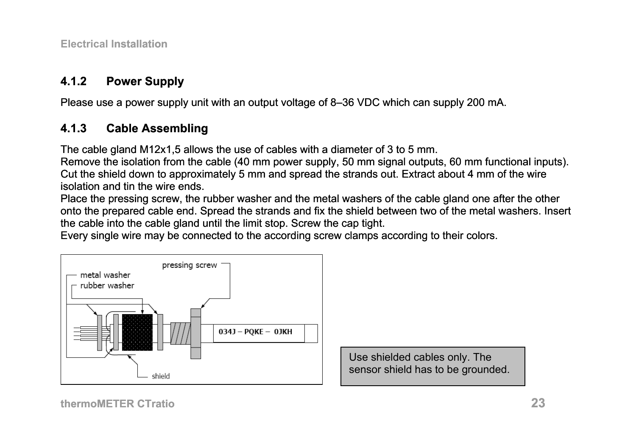### **4.1.2 Power Supply**

Please use a power supply unit with an output voltage of 8–36 VDC which can supply 200 mA.

### **4.1.3 Cable Assembling**

The cable gland M12x1,5 allows the use of cables with a diameter of 3 to 5 mm.

Remove the isolation from the cable (40 mm power supply, 50 mm signal outputs, 60 mm functional inputs). Cut the shield down to approximately 5 mm and spread the strands out. Extract about 4 mm of the wire isolation and tin the wire ends.

Place the pressing screw, the rubber washer and the metal washers of the cable gland one after the other onto the prepared cable end. Spread the strands and fix the shield between two of the metal washers. Insert the cable into the cable gland until the limit stop. Screw the cap tight.

Every single wire may be connected to the according screw clamps according to their colors.

<span id="page-22-0"></span>

Use shielded cables only. The sensor shield has to be grounded.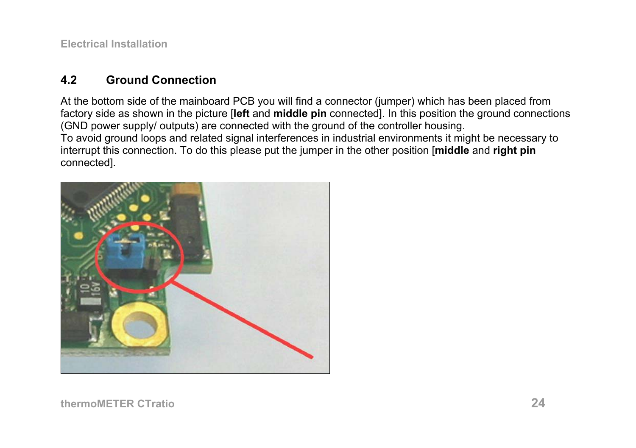#### <span id="page-23-0"></span>**4.2 Ground Connection**

At the bottom side of the mainboard PCB you will find a connector (jumper) which has been placed from factory side as shown in the picture [**left** and **middle pin** connected]. In this position the ground connections (GND power supply/ outputs) are connected with the ground of the controller housing. To avoid ground loops and related signal interferences in industrial environments it might be necessary to interrupt this connection. To do this please put the jumper in the other position [**middle** and **right pin**  connected].

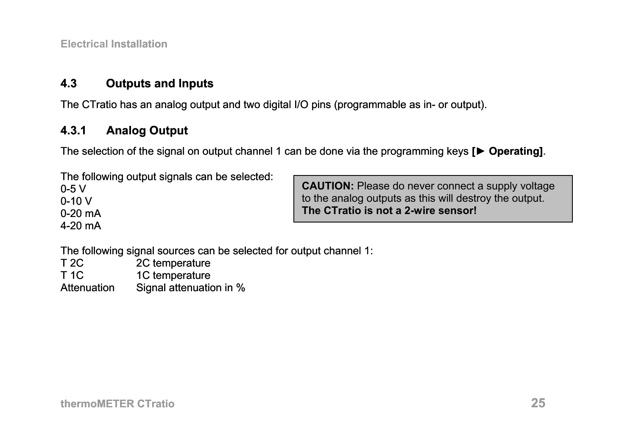**Elec l Installationtrica**

#### **4.3 Outputs and Inputs**

#### **4.3.1 Analog Output**

<span id="page-24-0"></span>

| <b>Electrical Installation</b>            |                                                                                                                                   |                                                                                                                                                          |
|-------------------------------------------|-----------------------------------------------------------------------------------------------------------------------------------|----------------------------------------------------------------------------------------------------------------------------------------------------------|
| 4.3                                       | <b>Outputs and Inputs</b>                                                                                                         |                                                                                                                                                          |
| 4.3.1                                     | <b>Analog Output</b>                                                                                                              | The CTratio has an analog output and two digital I/O pins (programmable as in- or output).                                                               |
|                                           |                                                                                                                                   | The selection of the signal on output channel 1 can be done via the programming keys $[\triangleright]$ Operating].                                      |
| $0-5V$<br>$0-10V$<br>$0-20$ mA<br>4-20 mA | The following output signals can be selected:                                                                                     | <b>CAUTION:</b> Please do never connect a supply voltar<br>to the analog outputs as this will destroy the output.<br>The CTratio is not a 2-wire sensor! |
| T2C<br><b>T1C</b><br>Attenuation          | The following signal sources can be selected for output channel 1:<br>2C temperature<br>1C temperature<br>Signal attenuation in % |                                                                                                                                                          |
|                                           |                                                                                                                                   |                                                                                                                                                          |
| thermoMETER CTratio                       |                                                                                                                                   | 25                                                                                                                                                       |

| T 2C        | 2C temperature          |
|-------------|-------------------------|
| T 1C        | 1C temperature          |
| Attenuation | Signal attenuation in % |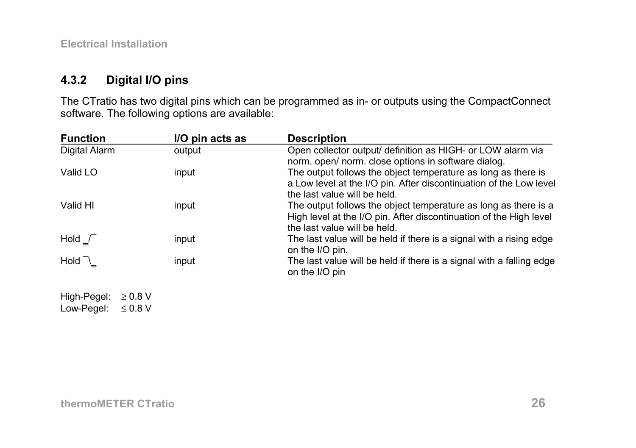### <span id="page-25-0"></span>**4.3.2 Digital I/O pins**

The CTratio has two digital pins which can be programmed as in- or outputs using the CompactConnect software. The following options are available:

| <b>Function</b>          |              | I/O pin acts as | <b>Description</b>                                                                     |
|--------------------------|--------------|-----------------|----------------------------------------------------------------------------------------|
| Digital Alarm            |              | output          | Open collector output/ definition as HIGH- or LOW alarm via                            |
|                          |              |                 | norm. open/ norm. close options in software dialog.                                    |
| Valid LO                 |              | input           | The output follows the object temperature as long as there is                          |
|                          |              |                 | a Low level at the I/O pin. After discontinuation of the Low level                     |
|                          |              |                 | the last value will be held.                                                           |
| Valid HI                 |              | input           | The output follows the object temperature as long as there is a                        |
|                          |              |                 | High level at the I/O pin. After discontinuation of the High level                     |
|                          |              |                 | the last value will be held.                                                           |
| Hold $\sqrt{ }$          |              | input           | The last value will be held if there is a signal with a rising edge<br>on the I/O pin. |
| Hold $\overline{\wedge}$ |              | input           | The last value will be held if there is a signal with a falling edge                   |
|                          |              |                 | on the I/O pin                                                                         |
| High-Pegel:              | $\geq$ 0.8 V |                 |                                                                                        |
| Low-Pegel:               | $\leq$ 0.8 V |                 |                                                                                        |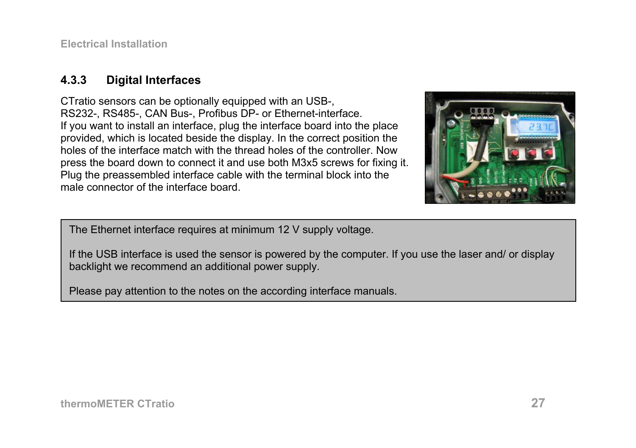#### <span id="page-26-0"></span>**4.3.3 Digital Interfaces**

CTratio sensors can be optionally equipped with an USB-, RS232-, RS485-, CAN Bus-, Profibus DP- or Ethernet-interface. If you want to install an interface, plug the interface board into the place provided, which is located beside the display. In the correct position the holes of the interface match with the thread holes of the controller. Now press the board down to connect it and use both M3x5 screws for fixing it. Plug the preassembled interface cable with the terminal block into the male connector of the interface board.



The Ethernet interface requires at minimum 12 V supply voltage.

If the USB interface is used the sensor is powered by the computer. If you use the laser and/ or display backlight we recommend an additional power supply.

Please pay attention to the notes on the according interface manuals.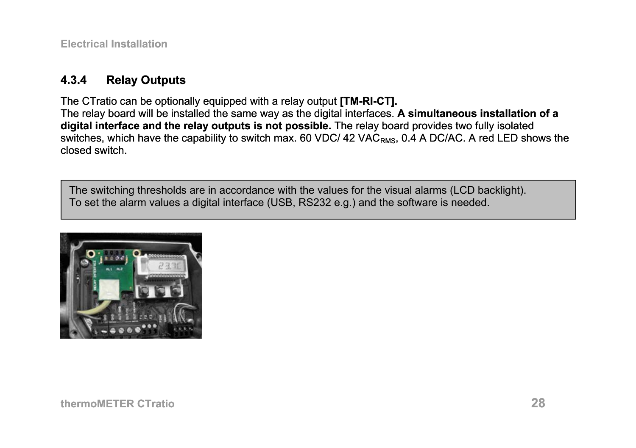#### <span id="page-27-0"></span>**4.3.4 Relay Outputs**

The CTratio can be optionally equipped with a relay output **[TM-RI-CT]**.<br>The relay board will be installed the same way as the digital interfaces. A simultaneous installation of a<br>digital interface and the relay outputs is

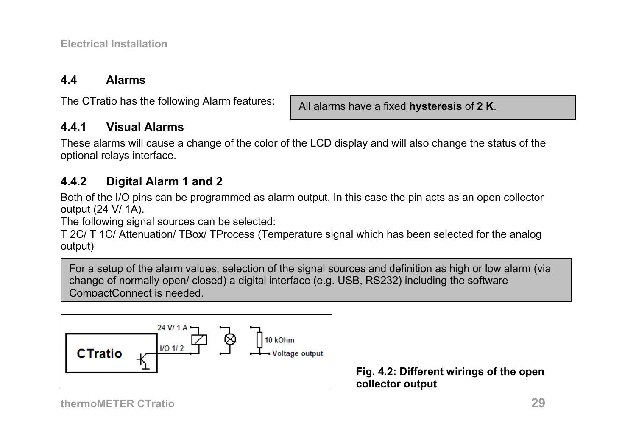#### <span id="page-28-0"></span>**4.4 Alarms**

The CTratio has the following Alarm features: All alarms have a fixed **hysteresis** of **2 K**.

#### **4.4.1Visual Alarms**

These alarms will cause a change of the color of the LCD display and will also change the status of the optional relays interface.

#### **4.4.2Digital Alarm 1 and 2**

Both of the I/O pins can be programmed as alarm output. In this case the pin acts as an open collector output (24 V/ 1A).

The following signal sources can be selected:

T 2C/ T 1C/ Attenuation/ TBox/ TProcess (Temperature signal which has been selected for the analog output)

For a setup of the alarm values, selection of the signal sources and definition as high or low alarm (via change of normally open/ closed) a digital interface (e.g. USB, RS232) including the software CompactConnect is needed.



**Fig. 4.2: Different wirings of the open collector output**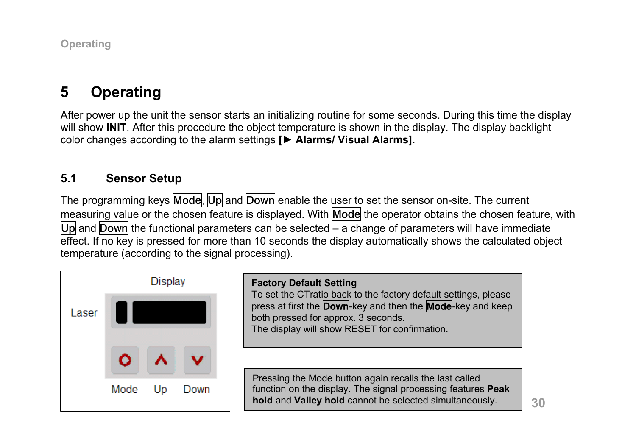# <span id="page-29-0"></span>**5 Operating**

After power up the unit the sensor starts an initializing routine for some seconds. During this time the display will show **INIT**. After this procedure the object temperature is shown in the display. The display backlight color changes according to the alarm settings **[► Alarms/ Visual Alarms].** 

#### **5.1Sensor Setup**

The programming keys Mode, Up and Down enable the user to set the sensor on-site. The current measuring value or the chosen feature is displayed. With Mode the operator obtains the chosen feature, with Up and Down the functional parameters can be selected  $-$  a change of parameters will have immediate effect. If no key is pressed for more than 10 seconds the display automatically shows the calculated object temperature (according to the signal processing).



#### **Factory Default Setting**

To set the CTratio back to the factory default settings, please press at first the **Down**-key and then the **Mode**-key and keep both pressed for approx. 3 seconds. The display will show RESET for confirmation.

**thermode and Valley hold** cannot be selected simultaneously.  $\begin{bmatrix} 30 \end{bmatrix}$ Pressing the Mode button again recalls the last called function on the display. The signal processing features **Peak**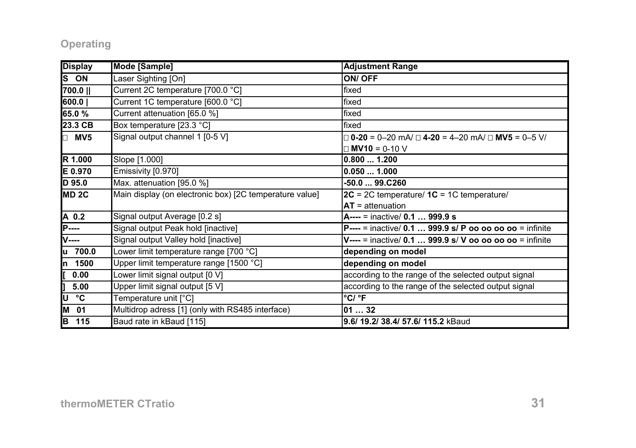| <b>Display</b>   | Mode [Sample]                                           | <b>Adjustment Range</b>                                           |
|------------------|---------------------------------------------------------|-------------------------------------------------------------------|
| S ON             | Laser Sighting [On]                                     | <b>ON/ OFF</b>                                                    |
| 700.0            | Current 2C temperature [700.0 °C]                       | fixed                                                             |
| 600.0            | Current 1C temperature [600.0 °C]                       | fixed                                                             |
| 65.0 %           | Current attenuation [65.0 %]                            | fixed                                                             |
| 23.3 CB          | Box temperature [23.3 °C]                               | fixed                                                             |
| $\Box$ MV5       | Signal output channel 1 [0-5 V]                         | $\Box$ 0-20 = 0-20 mA/ $\Box$ 4-20 = 4-20 mA/ $\Box$ MV5 = 0-5 V/ |
|                  |                                                         | $\Box$ MV10 = 0-10 V                                              |
| R 1.000          | Slope [1.000]                                           | 0.8001.200                                                        |
| E 0.970          | Emissivity [0.970]                                      | 0.0501.000                                                        |
| D 95.0           | Max. attenuation [95.0 %]                               | -50.0  99.C260                                                    |
| MD <sub>2C</sub> | Main display (on electronic box) [2C temperature value] | $2C = 2C$ temperature/ $1C = 1C$ temperature/                     |
|                  |                                                         | $AT =$ attenuation                                                |
| $A$ 0.2          | Signal output Average [0.2 s]                           | A---- = inactive/ 0.1  999.9 s                                    |
| <b>P----</b>     | Signal output Peak hold [inactive]                      | $P$ ---- = inactive/ 0.1  999.9 s/ P oo oo oo oo = infinite       |
| <b>V----</b>     | Signal output Valley hold [inactive]                    | $V$ ---- = inactive/ 0.1  999.9 s/ V oo oo oo oo = infinite       |
| u 700.0          | Lower limit temperature range [700 °C]                  | depending on model                                                |
| 1500<br>In.      | Upper limit temperature range [1500 °C]                 | depending on model                                                |
| 0.00             | Lower limit signal output [0 V]                         | according to the range of the selected output signal              |
| 5.00             | Upper limit signal output [5 V]                         | according to the range of the selected output signal              |
| ⊍ ℃              | Temperature unit [°C]                                   | °C/ °F                                                            |
| M 01             | Multidrop adress [1] (only with RS485 interface)        | 0132                                                              |
| B 115            | Baud rate in kBaud [115]                                | 9.6/ 19.2/ 38.4/ 57.6/ 115.2 kBaud                                |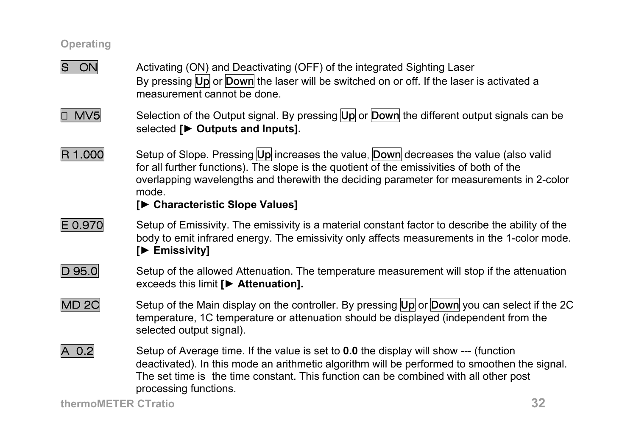- S ON Activating (ON) and Deactivating (OFF) of the integrated Sighting Laser By pressing Up or Down the laser will be switched on or off. If the laser is activated a measurement cannot be done.
- $\Box$  MV5 Selection of the Output signal. By pressing Up or Down the different output signals can be selected [**► Outputs and Inputs].**
- R 1.000Setup of Slope. Pressing Up increases the value, Down decreases the value (also valid for all further functions). The slope is the quotient of the emissivities of both of the overlapping wavelengths and therewith the deciding parameter for measurements in 2-color mode.

#### **[► Characteristic Slope Values]**

- E 0.970 Setup of Emissivity. The emissivity is a material constant factor to describe the ability of the body to emit infrared energy. The emissivity only affects measurements in the 1-color mode. **[► Emissivity]**
- 

D 95.0 Setup of the allowed Attenuation. The temperature measurement will stop if the attenuation exceeds this limit **[► Attenuation].**

- MD 2CSetup of the Main display on the controller. By pressing Up or Down you can select if the 2C temperature, 1C temperature or attenuation should be displayed (independent from the selected output signal).
- A 0.2 Setup of Average time. If the value is set to **0.0** the display will show --- (function deactivated). In this mode an arithmetic algorithm will be performed to smoothen the signal. The set time is the time constant. This function can be combined with all other post processing functions.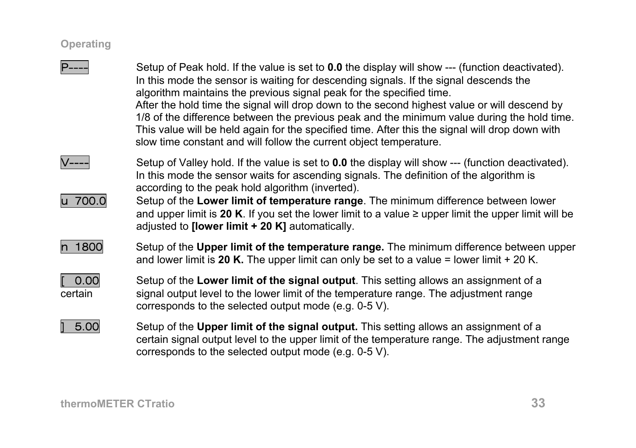|                  | Setup of Peak hold. If the value is set to 0.0 the display will show --- (function deactivated).<br>In this mode the sensor is waiting for descending signals. If the signal descends the<br>algorithm maintains the previous signal peak for the specified time.<br>After the hold time the signal will drop down to the second highest value or will descend by<br>1/8 of the difference between the previous peak and the minimum value during the hold time.<br>This value will be held again for the specified time. After this the signal will drop down with<br>slow time constant and will follow the current object temperature. |
|------------------|-------------------------------------------------------------------------------------------------------------------------------------------------------------------------------------------------------------------------------------------------------------------------------------------------------------------------------------------------------------------------------------------------------------------------------------------------------------------------------------------------------------------------------------------------------------------------------------------------------------------------------------------|
| V----<br>u 700.0 | Setup of Valley hold. If the value is set to 0.0 the display will show --- (function deactivated).<br>In this mode the sensor waits for ascending signals. The definition of the algorithm is<br>according to the peak hold algorithm (inverted).<br>Setup of the Lower limit of temperature range. The minimum difference between lower                                                                                                                                                                                                                                                                                                  |
|                  | and upper limit is 20 K. If you set the lower limit to a value $\geq$ upper limit the upper limit will be<br>adjusted to [lower limit + 20 K] automatically.                                                                                                                                                                                                                                                                                                                                                                                                                                                                              |
| 1800             | Setup of the Upper limit of the temperature range. The minimum difference between upper<br>and lower limit is 20 K. The upper limit can only be set to a value = lower limit + 20 K.                                                                                                                                                                                                                                                                                                                                                                                                                                                      |
| 0.00<br>certain  | Setup of the Lower limit of the signal output. This setting allows an assignment of a<br>signal output level to the lower limit of the temperature range. The adjustment range<br>corresponds to the selected output mode (e.g. 0-5 V).                                                                                                                                                                                                                                                                                                                                                                                                   |
| 5.00             | Setup of the Upper limit of the signal output. This setting allows an assignment of a<br>certain signal output level to the upper limit of the temperature range. The adjustment range<br>corresponds to the selected output mode (e.g. $0-5$ V).                                                                                                                                                                                                                                                                                                                                                                                         |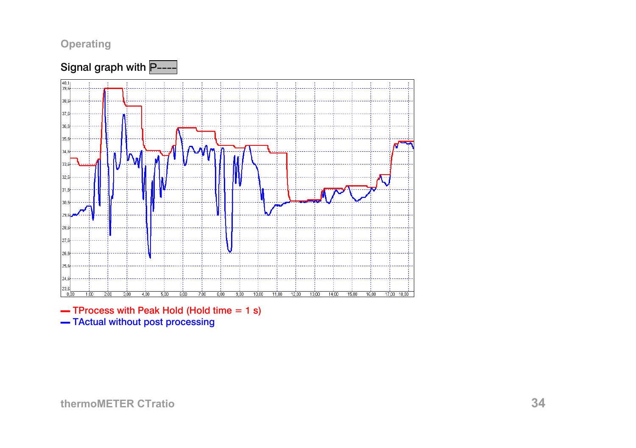Signal graph with P----



 $-$  TProcess with Peak Hold (Hold time = 1 s)

▬ TActual without post processing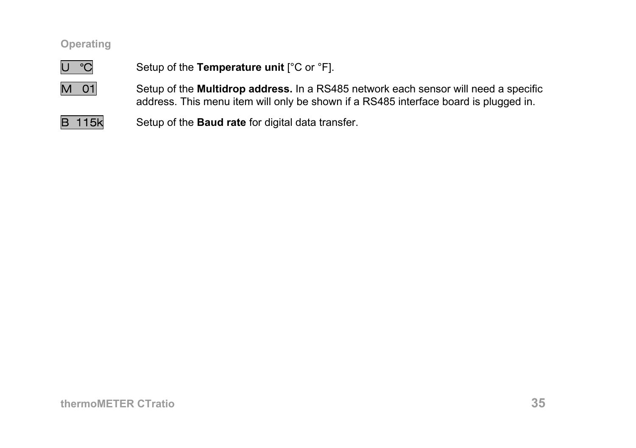- Setup of the **Temperature unit** [°C or °F].
- Setup of the **Multidrop address.** In a RS485 network each sensor will need a specific address. This menu item will only be shown if a RS485 interface board is plugged in.
- B 115kSetup of the **Baud rate** for digital data transfer.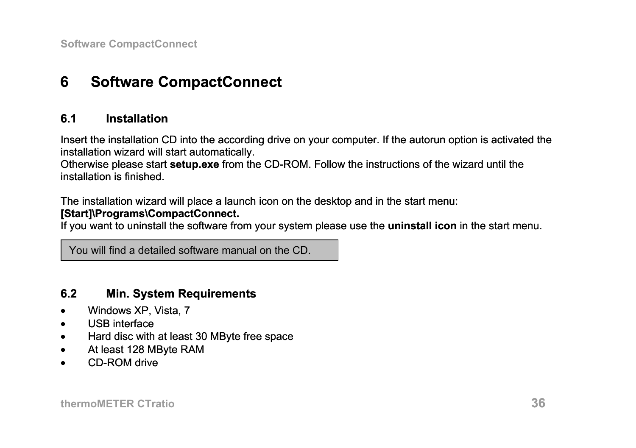<span id="page-35-0"></span>**Software CompactConnect** 

# **6 Software CompactConnect**

#### **6.1 Installation**

Insert the installation CD into the according drive on your computer. If the autorun option is activated the installation wizard will start automatically.

Otherwise please start **setup.exe** from the CD-ROM. Follow the instructions of the wizard until the installation is finished.

The installation wizard will place a launch icon on the desktop and in the start menu:

#### **[Start]\Programs\CompactConnect.**

If you want to uninstall the software from your system please use the **uninstall icon** in the start menu.

You will find a detailed software manual on the CD.

#### **6.2 Min. System Requirements**

- Windows XP, Vista, 7
- USB interface
- Hard disc with at least 30 MByte free space
- At least 128 MByte RAM
- CD-ROM drive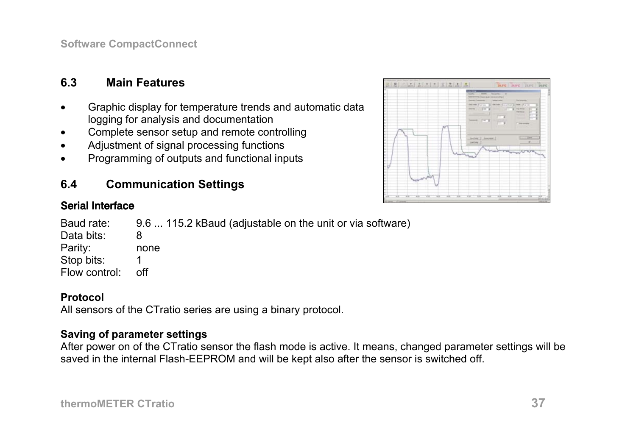<span id="page-36-0"></span>**Software CompactConnect**

### **6.3 Main Features**

- Graphic display for temperature trends and automatic data logging for analysis and documentation
- Complete sensor setup and remote controlling
- Adjustment of signal processing functions
- Programming of outputs and functional inputs

#### **6.4Communication Settings**

#### Serial Interface

| Baud rate:    | 9.6  115.2 kBaud (adjustable on the unit or via software) |
|---------------|-----------------------------------------------------------|
| Data bits:    |                                                           |
| Parity:       | none                                                      |
| Stop bits:    |                                                           |
| Flow control: | ∩ff                                                       |

#### **Protocol**

All sensors of the CTratio series are using a binary protocol.

#### **Saving of parameter settings**

After power on of the CTratio sensor the flash mode is active. It means, changed parameter settings will be saved in the internal Flash-EEPROM and will be kept also after the sensor is switched off.

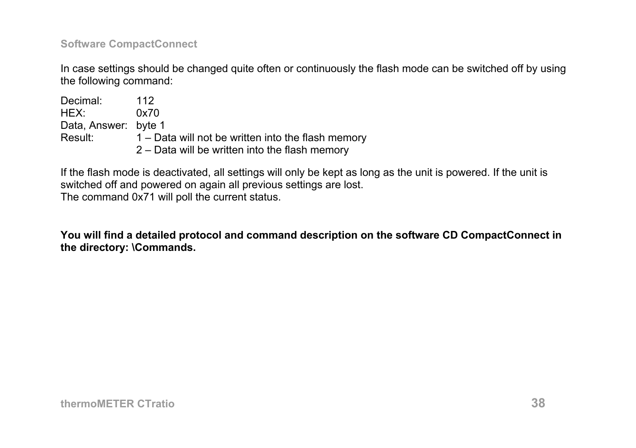#### **Software CompactConnect**

In case settings should be changed quite often or continuously the flash mode can be switched off by using the following command:

| Decimal:             | 112                                                |
|----------------------|----------------------------------------------------|
| HEX:                 | 0x70                                               |
| Data, Answer: byte 1 |                                                    |
| Result:              | 1 – Data will not be written into the flash memory |
|                      | 2 - Data will be written into the flash memory     |

If the flash mode is deactivated, all settings will only be kept as long as the unit is powered. If the unit is switched off and powered on again all previous settings are lost. The command 0x71 will poll the current status.

**You will find a detailed protocol and command description on the software CD CompactConnect in the directory: \Commands.**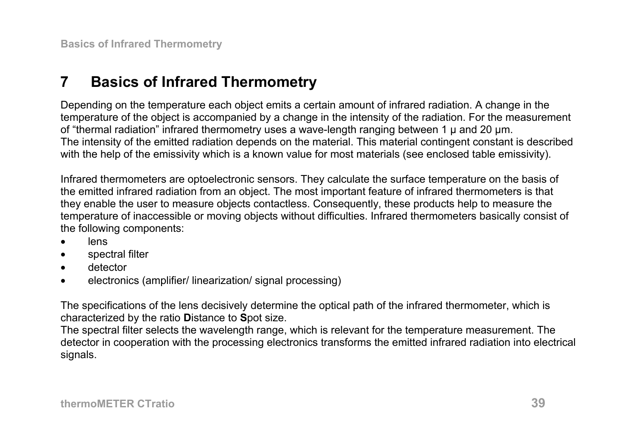# <span id="page-38-0"></span>**7 Basics of Infrared Thermometry**

Depending on the temperature each object emits a certain amount of infrared radiation. A change in the temperature of the object is accompanied by a change in the intensity of the radiation. For the measurement of "thermal radiation" infrared thermometry uses a wave-length ranging between 1 µ and 20 µm. The intensity of the emitted radiation depends on the material. This material contingent constant is described with the help of the emissivity which is a known value for most materials (see enclosed table emissivity).

Infrared thermometers are optoelectronic sensors. They calculate the surface temperature on the basis of the emitted infrared radiation from an object. The most important feature of infrared thermometers is that they enable the user to measure objects contactless. Consequently, these products help to measure the temperature of inaccessible or moving objects without difficulties. Infrared thermometers basically consist of the following components:

- lens
- spectral filter
- detector
- electronics (amplifier/ linearization/ signal processing)

The specifications of the lens decisively determine the optical path of the infrared thermometer, which is characterized by the ratio **D**istance to **S**pot size.

The spectral filter selects the wavelength range, which is relevant for the temperature measurement. The detector in cooperation with the processing electronics transforms the emitted infrared radiation into electrical signals.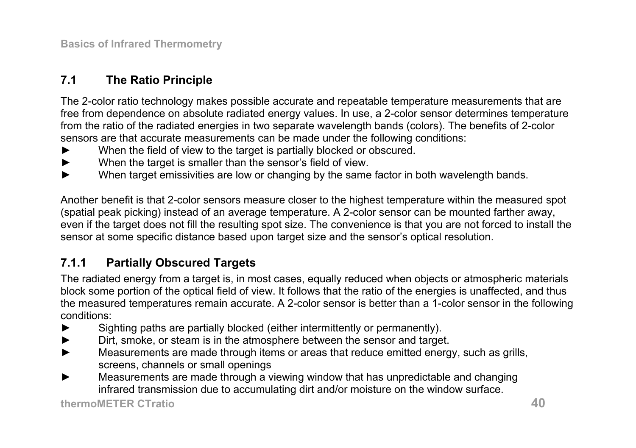<span id="page-39-0"></span>**Basi of Infrared Thermometr cs y** 

### **7.1 The Ratio Principle**

The 2-color ratio technology makes possible accurate and repeatable temperature measurements that are free from dependence on absolute radiated energy values. In use, a 2-color sensor determines temperature from the ratio of the radiated energies in two separate wavelength bands (colors). The benefits of 2-color sensors are that accurate measurements can be made under the following conditions:

- When the field of view to the target is partially blocked or obscured.
- ► When the target is smaller than the sensor's field of view.
- ► When target emissivities are low or changing by the same factor in both wavelength bands.

Another benefit is that 2-color sensors measure closer to the highest temperature within the measured spot (spatial peak picking) instead of an average temperature. A 2-color sensor can be mounted farther away, even if the target does not fill the resulting spot size. The convenience is that you are not forced to install the sensor at some specific distance based upon target size and the sensor's optical resolution.

#### **7.1.1Partially Obscured Targets**

The radiated energy from a target is, in most cases, equally reduced when objects or atmospheric materials block some portion of the optical field of view. It follows that the ratio of the energies is unaffected, and thus the measured temperatures remain accurate. A 2-color sensor is better than a 1-color sensor in the following conditions:

- Sighting paths are partially blocked (either intermittently or permanently).
- ► Dirt, smoke, or steam is in the atmosphere between the sensor and target.
- ► Measurements are made through items or areas that reduce emitted energy, such as grills, screens, channels or small openings
- ► Measurements are made through a viewing window that has unpredictable and changing infrared transmission due to accumulating dirt and/or moisture on the window surface.

**thermoMETER CTratio 40**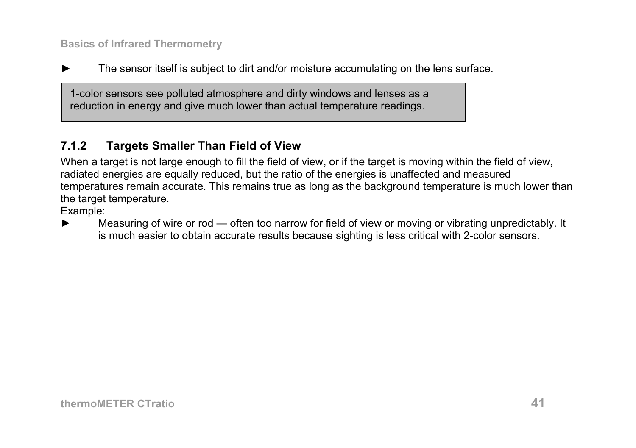<span id="page-40-0"></span>**Basics of Infrared Thermometry**

The sensor itself is subject to dirt and/or moisture accumulating on the lens surface.

1-color sensors see polluted atmosphere and dirty windows and lenses as a reduction in energy and give much lower than actual temperature readings.

#### **7.1.2Targets Smaller Than Field of View**

When a target is not large enough to fill the field of view, or if the target is moving within the field of view, radiated energies are equally reduced, but the ratio of the energies is unaffected and measured temperatures remain accurate. This remains true as long as the background temperature is much lower than the target temperature.

Example:

Measuring of wire or rod — often too narrow for field of view or moving or vibrating unpredictably. It is much easier to obtain accurate results because sighting is less critical with 2-color sensors.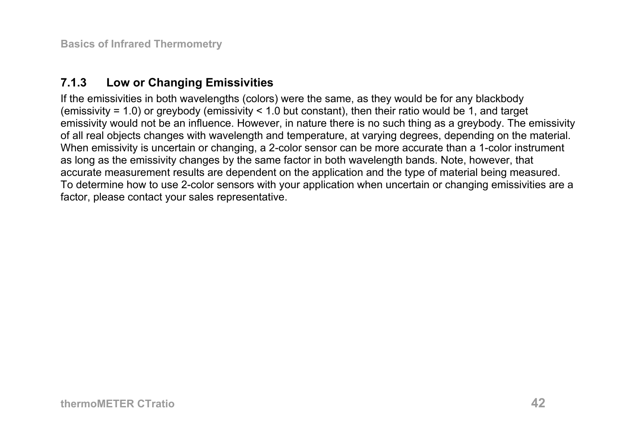### <span id="page-41-0"></span>**7.1.3 Low or Changing Emissivities**

If the emissivities in both wavelengths (colors) were the same, as they would be for any blackbody (emissivity  $= 1.0$ ) or greybody (emissivity  $\le 1.0$  but constant), then their ratio would be 1, and target emissivity would not be an influence. However, in nature there is no such thing as a greybody. The emissivity of all real objects changes with wavelength and temperature, at varying degrees, depending on the material. When emissivity is uncertain or changing, a 2-color sensor can be more accurate than a 1-color instrument as long as the emissivity changes by the same factor in both wavelength bands. Note, however, that accurate measurement results are dependent on the application and the type of material being measured. To determine how to use 2-color sensors with your application when uncertain or changing emissivities are a factor, please contact your sales representative.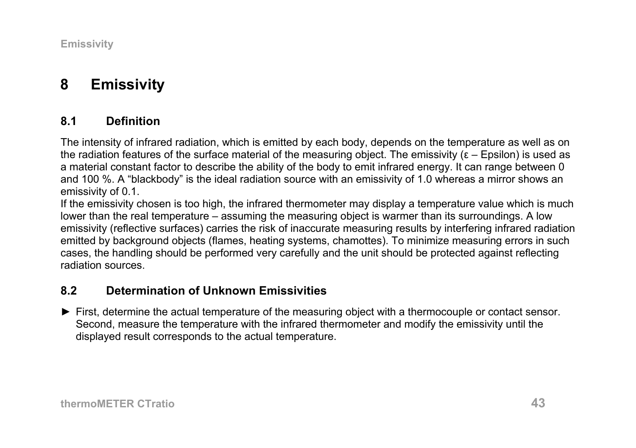<span id="page-42-0"></span>**Emissivity**

# **8 Emissivity**

#### **8.1Definition**

The intensity of infrared radiation, which is emitted by each body, depends on the temperature as well as on the radiation features of the surface material of the measuring object. The emissivity  $(\epsilon -$  Epsilon) is used as a material constant factor to describe the ability of the body to emit infrared energy. It can range between 0 and 100 %. A "blackbody" is the ideal radiation source with an emissivity of 1.0 whereas a mirror shows an emissivity of 0.1.

If the emissivity chosen is too high, the infrared thermometer may display a temperature value which is much lower than the real temperature – assuming the measuring object is warmer than its surroundings. A low emissivity (reflective surfaces) carries the risk of inaccurate measuring results by interfering infrared radiation emitted by background objects (flames, heating systems, chamottes). To minimize measuring errors in such cases, the handling should be performed very carefully and the unit should be protected against reflecting radiation sources.

#### **8.2Determination of Unknown Emissivities**

► First, determine the actual temperature of the measuring object with a thermocouple or contact sensor. Second, measure the temperature with the infrared thermometer and modify the emissivity until the displayed result corresponds to the actual temperature.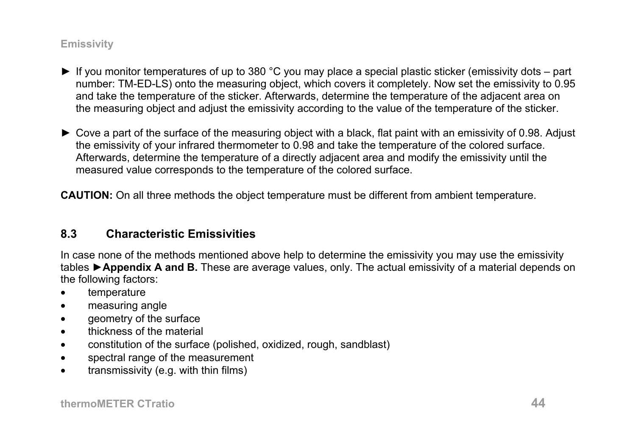#### <span id="page-43-0"></span>**Emissivity**

- ► If you monitor temperatures of up to 380 °C you may place a special plastic sticker (emissivity dots part number: TM-ED-LS) onto the measuring object, which covers it completely. Now set the emissivity to 0.95 and take the temperature of the sticker. Afterwards, determine the temperature of the adjacent area on the measuring object and adjust the emissivity according to the value of the temperature of the sticker.
- ► Cove a part of the surface of the measuring object with a black, flat paint with an emissivity of 0.98. Adjust the emissivity of your infrared thermometer to 0.98 and take the temperature of the colored surface. Afterwards, determine the temperature of a directly adjacent area and modify the emissivity until the measured value corresponds to the temperature of the colored surface.

**CAUTION:** On all three methods the object temperature must be different from ambient temperature.

#### **8.3Characteristic Emissivities**

In case none of the methods mentioned above help to determine the emissivity you may use the emissivity tables ►**Appendix A and B.** These are average values, only. The actual emissivity of a material depends on the following factors:

- temperature
- measuring angle
- geometry of the surface
- thickness of the material
- constitution of the surface (polished, oxidized, rough, sandblast)
- spectral range of the measurement
- transmissivity (e.g. with thin films)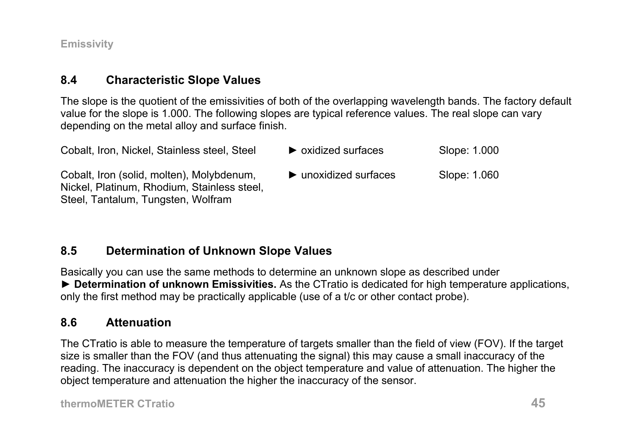<span id="page-44-0"></span>**Emis ty sivi**

#### **8.4 Characteristic Slope Values**

The slope is the quotient of the emissivities of both of the overlapping wavelength bands. The factory default value for the slope is 1.000. The following slopes are typical reference values. The real slope can vary depending on the metal alloy and surface finish.

| Cobalt. Iron. Nickel. Stainless steel. Steel                                                                                   | $\triangleright$ oxidized surfaces        | Slope: 1,000 |
|--------------------------------------------------------------------------------------------------------------------------------|-------------------------------------------|--------------|
| Cobalt, Iron (solid, molten), Molybdenum,<br>Nickel, Platinum, Rhodium, Stainless steel,<br>Steel, Tantalum, Tungsten, Wolfram | $\blacktriangleright$ unoxidized surfaces | Slope: 1.060 |

#### **8.5Determination of Unknown Slope Values**

Basically you can use the same methods to determine an unknown slope as described under ► **Determination of unknown Emissivities.** As the CTratio is dedicated for high temperature applications, only the first method may be practically applicable (use of a t/c or other contact probe).

#### **8.6Attenuation**

The CTratio is able to measure the temperature of targets smaller than the field of view (FOV). If the target size is smaller than the FOV (and thus attenuating the signal) this may cause a small inaccuracy of the reading. The inaccuracy is dependent on the object temperature and value of attenuation. The higher the object temperature and attenuation the higher the inaccuracy of the sensor.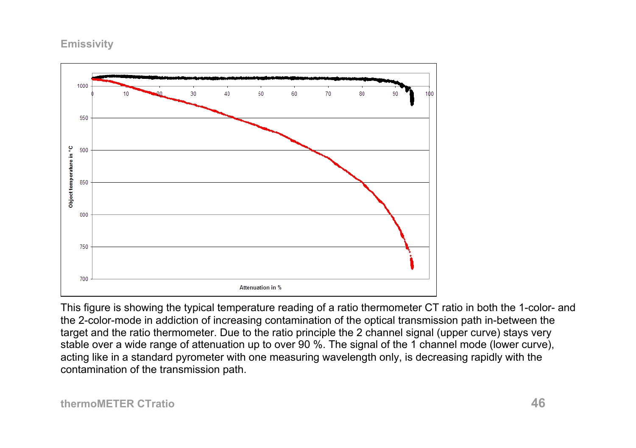



This figure is showing the typical temperature reading of a ratio thermometer CT ratio in both the 1-color- and the 2-color-mode in addiction of increasing contamination of the optical transmission path in-between the target and the ratio thermometer. Due to the ratio principle the 2 channel signal (upper curve) stays very stable over a wide range of attenuation up to over 90 %. The signal of the 1 channel mode (lower curve), acting like in a standard pyrometer with one measuring wavelength only, is decreasing rapidly with the contamination of the transmission path.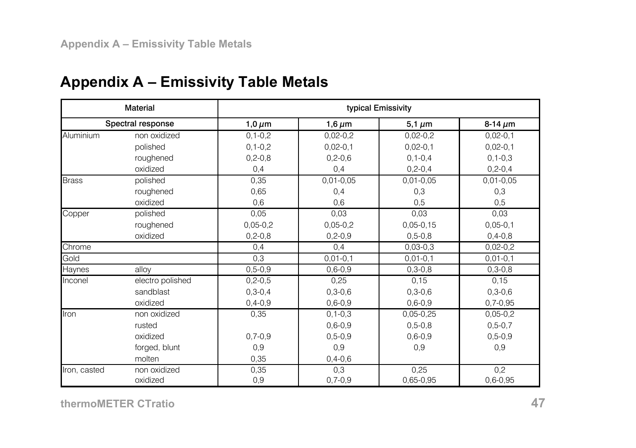| <b>Material</b><br>Spectral response |                  | typical Emissivity |               |               |               |
|--------------------------------------|------------------|--------------------|---------------|---------------|---------------|
|                                      |                  | 1,0 $\mu$ m        | 1,6 $\mu$ m   | 5,1 $\mu$ m   | 8-14 $\mu$ m  |
| Aluminium                            | non oxidized     | $0, 1 - 0, 2$      | $0,02-0,2$    | $0,02-0,2$    | $0,02-0,1$    |
|                                      | polished         | $0, 1 - 0, 2$      | $0,02-0,1$    | $0,02-0,1$    | $0,02-0,1$    |
|                                      | roughened        | $0, 2 - 0, 8$      | $0, 2 - 0, 6$ | $0, 1 - 0, 4$ | $0, 1 - 0, 3$ |
|                                      | oxidized         | 0,4                | 0,4           | $0, 2 - 0, 4$ | $0, 2 - 0, 4$ |
| <b>Brass</b>                         | polished         | 0,35               | $0,01 - 0,05$ | $0,01 - 0,05$ | $0,01-0,05$   |
|                                      | roughened        | 0,65               | 0,4           | 0,3           | 0,3           |
|                                      | oxidized         | 0,6                | 0,6           | 0,5           | 0,5           |
| Copper                               | polished         | 0,05               | 0,03          | 0,03          | 0,03          |
|                                      | roughened        | $0,05-0,2$         | $0,05-0,2$    | $0,05 - 0,15$ | $0,05 - 0,1$  |
|                                      | oxidized         | $0, 2 - 0, 8$      | $0, 2 - 0, 9$ | $0,5 - 0,8$   | $0,4-0,8$     |
| Chrome                               |                  | 0,4                | 0,4           | $0,03-0,3$    | $0,02-0,2$    |
| Gold                                 |                  | 0,3                | $0,01-0,1$    | $0,01-0,1$    | $0,01-0,1$    |
| Haynes                               | alloy            | $0, 5 - 0, 9$      | $0,6 - 0,9$   | $0,3-0,8$     | $0, 3 - 0, 8$ |
| Inconel                              | electro polished | $0, 2 - 0, 5$      | 0,25          | 0,15          | 0, 15         |
|                                      | sandblast        | $0,3 - 0,4$        | $0,3 - 0,6$   | $0,3 - 0,6$   | $0,3 - 0,6$   |
|                                      | oxidized         | $0,4-0,9$          | $0,6 - 0,9$   | $0,6 - 0,9$   | $0,7-0,95$    |
| <b>Iron</b>                          | non oxidized     | 0,35               | $0, 1 - 0, 3$ | $0,05 - 0,25$ | $0,05-0,2$    |
|                                      | rusted           |                    | $0,6 - 0,9$   | $0,5 - 0,8$   | $0, 5 - 0, 7$ |
|                                      | oxidized         | $0,7-0,9$          | $0, 5 - 0, 9$ | $0,6 - 0,9$   | $0,5-0,9$     |
|                                      | forged, blunt    | 0,9                | 0,9           | 0,9           | 0,9           |
|                                      | molten           | 0,35               | $0,4-0,6$     |               |               |
| Iron. casted                         | non oxidized     | 0,35               | 0,3           | 0,25          | 0,2           |
|                                      | oxidized         | 0,9                | $0,7-0,9$     | $0,65 - 0,95$ | $0,6 - 0,95$  |

# <span id="page-46-0"></span>**Appendix A – Emissivity Table Metals**

**thermoMETER CTratio 47**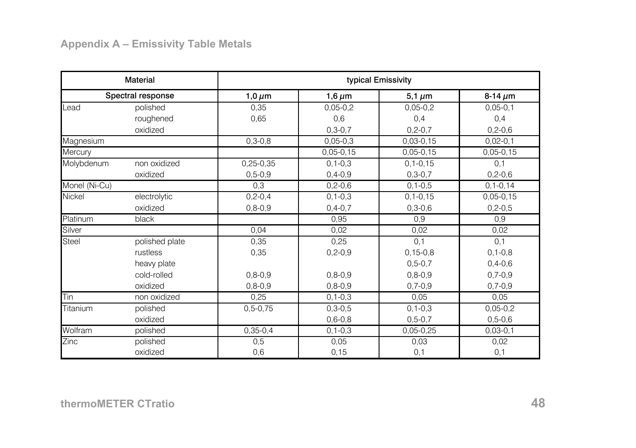| <b>Material</b><br>Spectral response |                | typical Emissivity |               |                |                |  |
|--------------------------------------|----------------|--------------------|---------------|----------------|----------------|--|
|                                      |                | 1,0 $\mu$ m        | $1,6 \,\mu m$ | 5,1 $\mu$ m    | 8-14 $\mu$ m   |  |
| Lead                                 | polished       | 0,35               | $0,05 - 0,2$  | $0,05-0,2$     | $0,05 - 0,1$   |  |
|                                      | roughened      | 0,65               | 0,6           | 0,4            | 0,4            |  |
|                                      | oxidized       |                    | $0,3 - 0,7$   | $0, 2 - 0, 7$  | $0, 2 - 0, 6$  |  |
| Magnesium                            |                | $0,3 - 0,8$        | $0,05 - 0,3$  | $0,03-0,15$    | $0,02-0,1$     |  |
| Mercury                              |                |                    | $0,05 - 0,15$ | $0,05 - 0,15$  | $0,05 - 0,15$  |  |
| Molybdenum                           | non oxidized   | $0,25 - 0,35$      | $0, 1 - 0, 3$ | $0, 1 - 0, 15$ | 0,1            |  |
|                                      | oxidized       | $0, 5 - 0, 9$      | $0,4-0,9$     | $0, 3 - 0, 7$  | $0, 2 - 0, 6$  |  |
| Monel (Ni-Cu)                        |                | 0,3                | $0, 2 - 0, 6$ | $0, 1 - 0, 5$  | $0, 1 - 0, 14$ |  |
| Nickel                               | electrolytic   | $0, 2 - 0, 4$      | $0, 1 - 0, 3$ | $0, 1 - 0, 15$ | $0,05 - 0,15$  |  |
|                                      | oxidized       | $0.8 - 0.9$        | $0, 4 - 0, 7$ | $0,3-0,6$      | $0, 2 - 0, 5$  |  |
| Platinum                             | black          |                    | 0,95          | 0.9            | 0.9            |  |
| Silver                               |                | 0,04               | 0,02          | 0,02           | 0,02           |  |
| Steel                                | polished plate | 0,35               | 0,25          | 0,1            | 0,1            |  |
|                                      | rustless       | 0,35               | $0, 2 - 0, 9$ | $0, 15 - 0, 8$ | $0, 1 - 0, 8$  |  |
|                                      | heavy plate    |                    |               | $0, 5 - 0, 7$  | $0,4-0,6$      |  |
|                                      | cold-rolled    | $0, 8 - 0, 9$      | $0, 8 - 0, 9$ | $0,8 - 0,9$    | $0,7-0,9$      |  |
|                                      | oxidized       | $0, 8 - 0, 9$      | $0, 8 - 0, 9$ | $0,7-0,9$      | $0,7-0,9$      |  |
| Tin                                  | non oxidized   | 0,25               | $0, 1 - 0, 3$ | 0,05           | 0,05           |  |
| Titanium                             | polished       | $0, 5 - 0, 75$     | $0,3-0,5$     | $0, 1 - 0, 3$  | $0,05-0,2$     |  |
|                                      | oxidized       |                    | $0,6 - 0,8$   | $0, 5 - 0, 7$  | $0,5 - 0,6$    |  |
| Wolfram                              | polished       | $0,35-0,4$         | $0, 1 - 0, 3$ | $0,05-0,25$    | $0,03-0,1$     |  |
| Zinc                                 | polished       | 0,5                | 0,05          | 0,03           | 0,02           |  |
|                                      | oxidized       | 0,6                | 0,15          | 0,1            | 0,1            |  |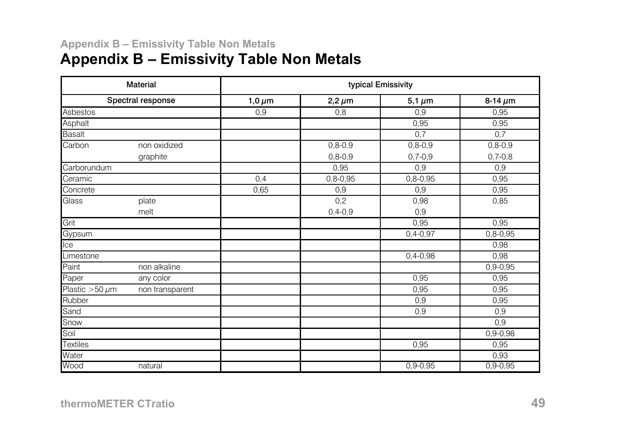### <span id="page-48-0"></span>**Appendix B – Emissivity Table Non Metals Appendix B – Emissivity Table Non Metals**

| <b>Material</b><br>Spectral response |                 | typical Emissivity |              |               |                |
|--------------------------------------|-----------------|--------------------|--------------|---------------|----------------|
|                                      |                 | 1,0 $\mu$ m        | $2,2 \mu m$  | 5,1 $\mu$ m   | 8-14 $\mu$ m   |
| Asbestos                             |                 | 0,9                | 0,8          | 0,9           | 0,95           |
| Asphalt                              |                 |                    |              | 0,95          | 0,95           |
| <b>Basalt</b>                        |                 |                    |              | 0,7           | 0,7            |
| Carbon                               | non oxidized    |                    | $0,8 - 0,9$  | $0, 8 - 0, 9$ | $0, 8 - 0, 9$  |
|                                      | graphite        |                    | $0.8 - 0.9$  | $0,7-0,9$     | $0,7-0,8$      |
| Carborundum                          |                 |                    | 0.95         | 0,9           | 0,9            |
| Ceramic                              |                 | 0,4                | $0,8 - 0,95$ | $0,8 - 0,95$  | 0,95           |
| Concrete                             |                 | 0,65               | 0,9          | 0,9           | 0,95           |
| Glass                                | plate           |                    | 0,2          | 0,98          | 0,85           |
|                                      | melt            |                    | $0.4 - 0.9$  | 0,9           |                |
| Grit                                 |                 |                    |              | 0,95          | 0,95           |
| Gypsum                               |                 |                    |              | $0,4-0,97$    | $0, 8 - 0, 95$ |
| Ice                                  |                 |                    |              |               | 0,98           |
| Limestone                            |                 |                    |              | $0,4-0,98$    | 0,98           |
| Paint                                | non alkaline    |                    |              |               | $0,9-0,95$     |
| Paper                                | any color       |                    |              | 0,95          | 0,95           |
| Plastic $>50 \mu m$                  | non transparent |                    |              | 0,95          | 0,95           |
| Rubber                               |                 |                    |              | 0,9           | 0,95           |
| Sand                                 |                 |                    |              | 0.9           | 0,9            |
| Snow                                 |                 |                    |              |               | 0,9            |
| Soil                                 |                 |                    |              |               | $0,9-0,98$     |
| <b>Textiles</b>                      |                 |                    |              | 0,95          | 0,95           |
| Water                                |                 |                    |              |               | 0,93           |
| Wood                                 | natural         |                    |              | $0,9 - 0,95$  | $0,9-0,95$     |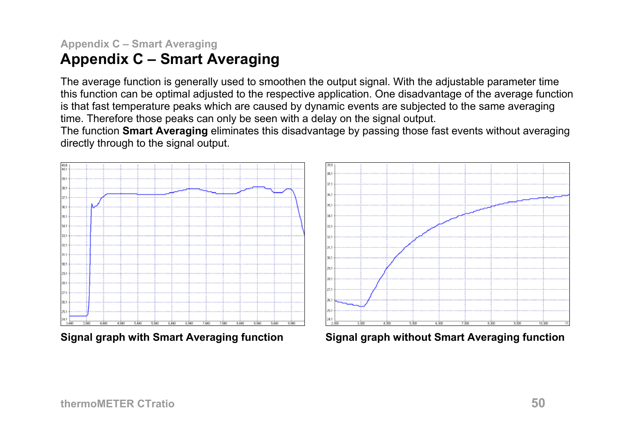### <span id="page-49-0"></span>**Appendix C – Smart Averaging Appendix C – Smart Averaging**

The average function is generally used to smoothen the output signal. With the adjustable parameter time this function can be optimal adjusted to the respective application. One disadvantage of the average function is that fast temperature peaks which are caused by dynamic events are subjected to the same averaging time. Therefore those peaks can only be seen with a delay on the signal output.

The function **Smart Averaging** eliminates this disadvantage by passing those fast events without averaging directly through to the signal output.





**Signal graph with Smart Averaging function Signal graph without Smart Averaging function**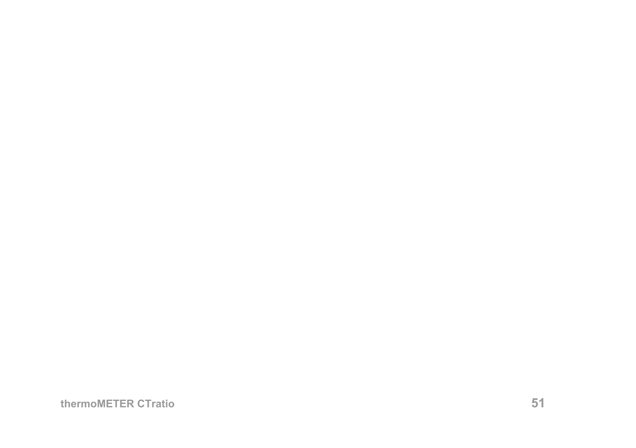**thermoMETER CTratio 51**